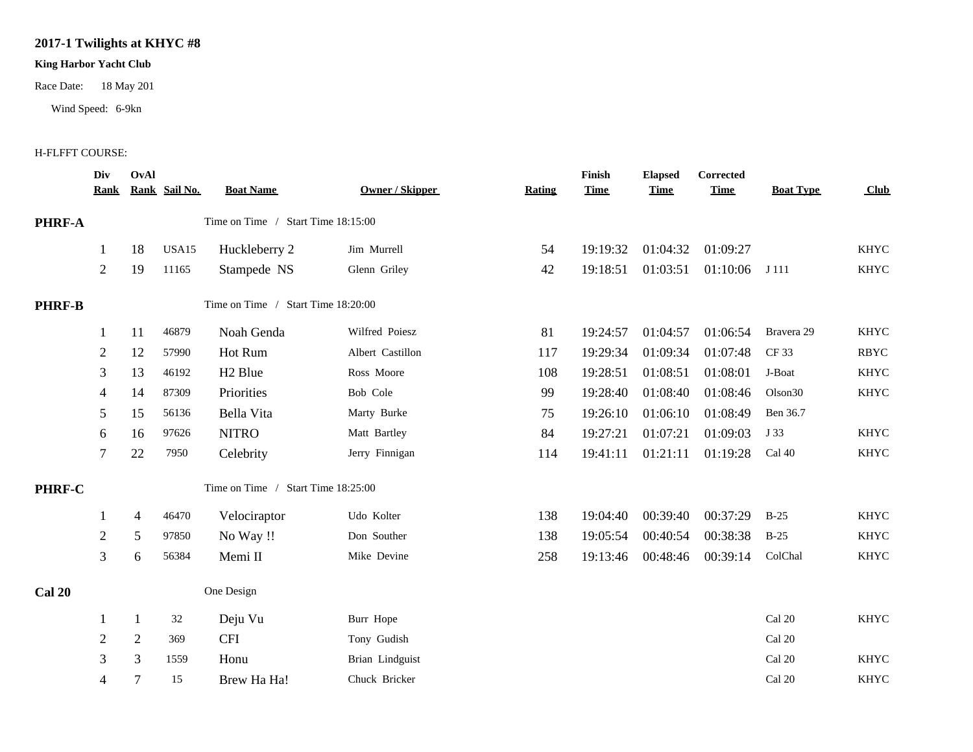## **2017-1 Twilights at KHYC #8**

## **King Harbor Yacht Club**

Race Date: 18 May 201

Wind Speed: 6-9kn

## H-FLFFT COURSE:

|               | Div<br><u>Rank</u> | OvAl           | Rank Sail No. | <b>Boat Name</b>                   | <b>Owner / Skipper</b> | <b>Rating</b> | Finish<br><b>Time</b> | <b>Elapsed</b><br><b>Time</b> | Corrected<br><b>Time</b> | <b>Boat Type</b>    | <b>Club</b> |
|---------------|--------------------|----------------|---------------|------------------------------------|------------------------|---------------|-----------------------|-------------------------------|--------------------------|---------------------|-------------|
| PHRF-A        |                    |                |               | Time on Time / Start Time 18:15:00 |                        |               |                       |                               |                          |                     |             |
|               | $\mathbf{1}$       | 18             | USA15         | Huckleberry 2                      | Jim Murrell            | 54            | 19:19:32              | 01:04:32                      | 01:09:27                 |                     | <b>KHYC</b> |
|               | $\overline{2}$     | 19             | 11165         | Stampede NS                        | Glenn Griley           | 42            | 19:18:51              | 01:03:51                      | 01:10:06                 | J 111               | <b>KHYC</b> |
| <b>PHRF-B</b> |                    |                |               | Time on Time / Start Time 18:20:00 |                        |               |                       |                               |                          |                     |             |
|               | $\mathbf{1}$       | 11             | 46879         | Noah Genda                         | Wilfred Poiesz         | 81            | 19:24:57              | 01:04:57                      | 01:06:54                 | Bravera 29          | <b>KHYC</b> |
|               | $\overline{2}$     | 12             | 57990         | Hot Rum                            | Albert Castillon       | 117           | 19:29:34              | 01:09:34                      | 01:07:48                 | CF 33               | <b>RBYC</b> |
|               | 3                  | 13             | 46192         | H <sub>2</sub> Blue                | Ross Moore             | 108           | 19:28:51              | 01:08:51                      | 01:08:01                 | J-Boat              | <b>KHYC</b> |
|               | 4                  | 14             | 87309         | Priorities                         | Bob Cole               | 99            | 19:28:40              | 01:08:40                      | 01:08:46                 | Olson <sub>30</sub> | KHYC        |
|               | 5                  | 15             | 56136         | Bella Vita                         | Marty Burke            | 75            | 19:26:10              | 01:06:10                      | 01:08:49                 | Ben 36.7            |             |
|               | 6                  | 16             | 97626         | <b>NITRO</b>                       | Matt Bartley           | 84            | 19:27:21              | 01:07:21                      | 01:09:03                 | J 33                | <b>KHYC</b> |
|               | 7                  | 22             | 7950          | Celebrity                          | Jerry Finnigan         | 114           | 19:41:11              | 01:21:11                      | 01:19:28                 | Cal 40              | KHYC        |
| PHRF-C        |                    |                |               | Time on Time / Start Time 18:25:00 |                        |               |                       |                               |                          |                     |             |
|               | 1                  | 4              | 46470         | Velociraptor                       | Udo Kolter             | 138           | 19:04:40              | 00:39:40                      | 00:37:29                 | $B-25$              | <b>KHYC</b> |
|               | 2                  | 5 <sup>5</sup> | 97850         | No Way !!                          | Don Souther            | 138           | 19:05:54              | 00:40:54                      | 00:38:38                 | $B-25$              | <b>KHYC</b> |
|               | 3                  | 6              | 56384         | Memi II                            | Mike Devine            | 258           | 19:13:46              | 00:48:46                      | 00:39:14                 | ColChal             | <b>KHYC</b> |
| <b>Cal 20</b> |                    |                |               | One Design                         |                        |               |                       |                               |                          |                     |             |
|               | 1                  | 1              | 32            | Deju Vu                            | Burr Hope              |               |                       |                               |                          | Cal 20              | KHYC        |
|               | $\overline{2}$     | $\overline{2}$ | 369           | <b>CFI</b>                         | Tony Gudish            |               |                       |                               |                          | Cal 20              |             |
|               | 3                  | 3              | 1559          | Honu                               | Brian Lindguist        |               |                       |                               |                          | Cal 20              | <b>KHYC</b> |
|               | 4                  |                | 15            | Brew Ha Ha!                        | Chuck Bricker          |               |                       |                               |                          | Cal 20              | <b>KHYC</b> |